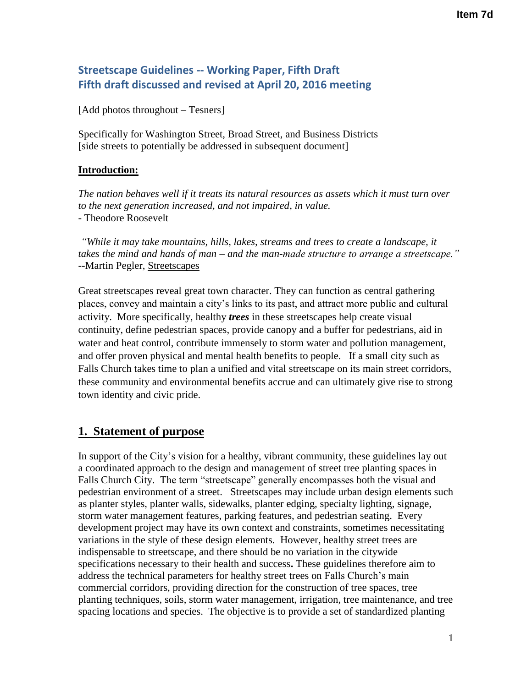# **Streetscape Guidelines -- Working Paper, Fifth Draft Fifth draft discussed and revised at April 20, 2016 meeting**

[Add photos throughout – Tesners]

Specifically for Washington Street, Broad Street, and Business Districts [side streets to potentially be addressed in subsequent document]

### **Introduction:**

*The nation behaves well if it treats its natural resources as assets which it must turn over to the next generation increased, and not impaired, in value.* - Theodore Roosevelt

*"While it may take mountains, hills, lakes, streams and trees to create a landscape, it takes the mind and hands of man – and the man-made structure to arrange a streetscape."* --Martin Pegler, Streetscapes

Great streetscapes reveal great town character. They can function as central gathering places, convey and maintain a city's links to its past, and attract more public and cultural activity. More specifically, healthy *trees* in these streetscapes help create visual continuity, define pedestrian spaces, provide canopy and a buffer for pedestrians, aid in water and heat control, contribute immensely to storm water and pollution management, and offer proven physical and mental health benefits to people. If a small city such as Falls Church takes time to plan a unified and vital streetscape on its main street corridors, these community and environmental benefits accrue and can ultimately give rise to strong town identity and civic pride.

## **1. Statement of purpose**

In support of the City's vision for a healthy, vibrant community, these guidelines lay out a coordinated approach to the design and management of street tree planting spaces in Falls Church City. The term "streetscape" generally encompasses both the visual and pedestrian environment of a street. Streetscapes may include urban design elements such as planter styles, planter walls, sidewalks, planter edging, specialty lighting, signage, storm water management features, parking features, and pedestrian seating. Every development project may have its own context and constraints, sometimes necessitating variations in the style of these design elements. However, healthy street trees are indispensable to streetscape, and there should be no variation in the citywide specifications necessary to their health and success**.** These guidelines therefore aim to address the technical parameters for healthy street trees on Falls Church's main commercial corridors, providing direction for the construction of tree spaces, tree planting techniques, soils, storm water management, irrigation, tree maintenance, and tree spacing locations and species. The objective is to provide a set of standardized planting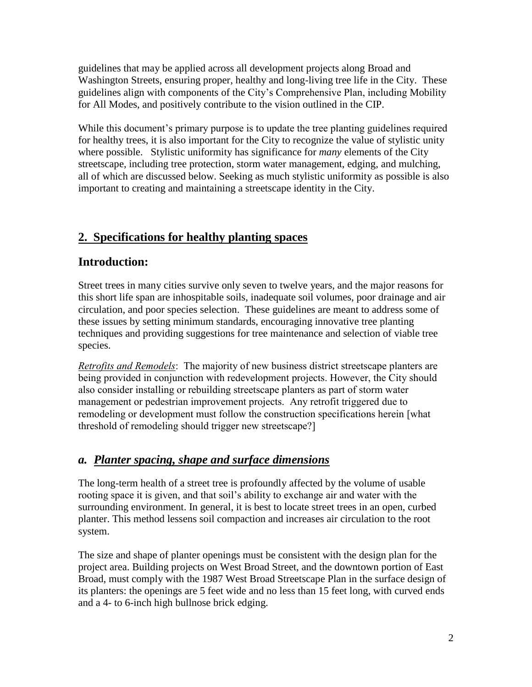guidelines that may be applied across all development projects along Broad and Washington Streets, ensuring proper, healthy and long-living tree life in the City. These guidelines align with components of the City's Comprehensive Plan, including Mobility for All Modes, and positively contribute to the vision outlined in the CIP.

While this document's primary purpose is to update the tree planting guidelines required for healthy trees, it is also important for the City to recognize the value of stylistic unity where possible. Stylistic uniformity has significance for *many* elements of the City streetscape, including tree protection, storm water management, edging, and mulching, all of which are discussed below. Seeking as much stylistic uniformity as possible is also important to creating and maintaining a streetscape identity in the City.

# **2. Specifications for healthy planting spaces**

## **Introduction:**

Street trees in many cities survive only seven to twelve years, and the major reasons for this short life span are inhospitable soils, inadequate soil volumes, poor drainage and air circulation, and poor species selection. These guidelines are meant to address some of these issues by setting minimum standards, encouraging innovative tree planting techniques and providing suggestions for tree maintenance and selection of viable tree species.

*Retrofits and Remodels*: The majority of new business district streetscape planters are being provided in conjunction with redevelopment projects. However, the City should also consider installing or rebuilding streetscape planters as part of storm water management or pedestrian improvement projects. Any retrofit triggered due to remodeling or development must follow the construction specifications herein [what threshold of remodeling should trigger new streetscape?]

# *a. Planter spacing, shape and surface dimensions*

The long-term health of a street tree is profoundly affected by the volume of usable rooting space it is given, and that soil's ability to exchange air and water with the surrounding environment. In general, it is best to locate street trees in an open, curbed planter. This method lessens soil compaction and increases air circulation to the root system.

The size and shape of planter openings must be consistent with the design plan for the project area. Building projects on West Broad Street, and the downtown portion of East Broad, must comply with the 1987 West Broad Streetscape Plan in the surface design of its planters: the openings are 5 feet wide and no less than 15 feet long, with curved ends and a 4- to 6-inch high bullnose brick edging.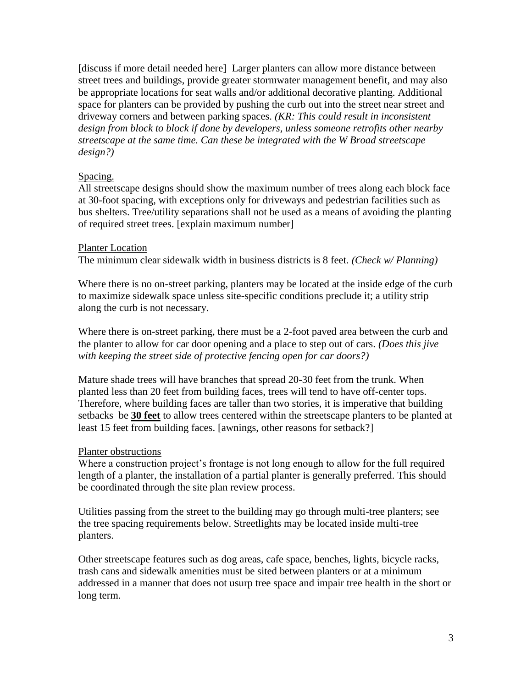[discuss if more detail needed here] Larger planters can allow more distance between street trees and buildings, provide greater stormwater management benefit, and may also be appropriate locations for seat walls and/or additional decorative planting. Additional space for planters can be provided by pushing the curb out into the street near street and driveway corners and between parking spaces. *(KR: This could result in inconsistent design from block to block if done by developers, unless someone retrofits other nearby streetscape at the same time. Can these be integrated with the W Broad streetscape design?)*

### Spacing.

All streetscape designs should show the maximum number of trees along each block face at 30-foot spacing, with exceptions only for driveways and pedestrian facilities such as bus shelters. Tree/utility separations shall not be used as a means of avoiding the planting of required street trees. [explain maximum number]

#### Planter Location

The minimum clear sidewalk width in business districts is 8 feet. *(Check w/ Planning)*

Where there is no on-street parking, planters may be located at the inside edge of the curb to maximize sidewalk space unless site-specific conditions preclude it; a utility strip along the curb is not necessary.

Where there is on-street parking, there must be a 2-foot paved area between the curb and the planter to allow for car door opening and a place to step out of cars. *(Does this jive with keeping the street side of protective fencing open for car doors?)*

Mature shade trees will have branches that spread 20-30 feet from the trunk. When planted less than 20 feet from building faces, trees will tend to have off-center tops. Therefore, where building faces are taller than two stories, it is imperative that building setbacks be **30 feet** to allow trees centered within the streetscape planters to be planted at least 15 feet from building faces. [awnings, other reasons for setback?]

#### Planter obstructions

Where a construction project's frontage is not long enough to allow for the full required length of a planter, the installation of a partial planter is generally preferred. This should be coordinated through the site plan review process.

Utilities passing from the street to the building may go through multi-tree planters; see the tree spacing requirements below. Streetlights may be located inside multi-tree planters.

Other streetscape features such as dog areas, cafe space, benches, lights, bicycle racks, trash cans and sidewalk amenities must be sited between planters or at a minimum addressed in a manner that does not usurp tree space and impair tree health in the short or long term.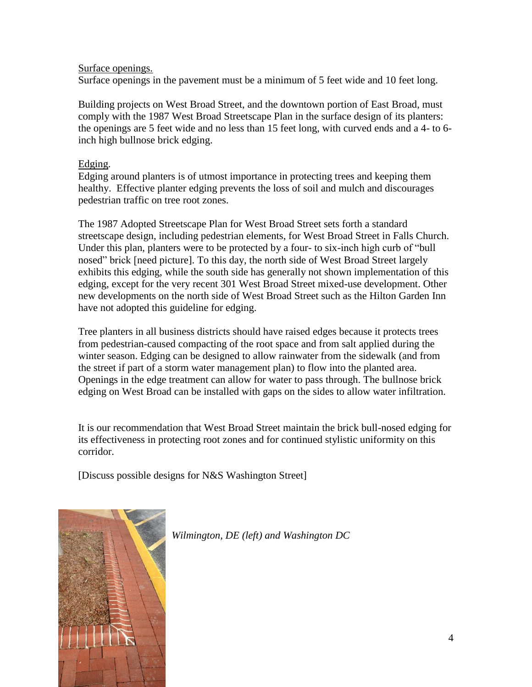#### Surface openings.

Surface openings in the pavement must be a minimum of 5 feet wide and 10 feet long.

Building projects on West Broad Street, and the downtown portion of East Broad, must comply with the 1987 West Broad Streetscape Plan in the surface design of its planters: the openings are 5 feet wide and no less than 15 feet long, with curved ends and a 4- to 6 inch high bullnose brick edging.

### Edging.

Edging around planters is of utmost importance in protecting trees and keeping them healthy. Effective planter edging prevents the loss of soil and mulch and discourages pedestrian traffic on tree root zones.

The 1987 Adopted Streetscape Plan for West Broad Street sets forth a standard streetscape design, including pedestrian elements, for West Broad Street in Falls Church. Under this plan, planters were to be protected by a four- to six-inch high curb of "bull nosed" brick [need picture]. To this day, the north side of West Broad Street largely exhibits this edging, while the south side has generally not shown implementation of this edging, except for the very recent 301 West Broad Street mixed-use development. Other new developments on the north side of West Broad Street such as the Hilton Garden Inn have not adopted this guideline for edging.

Tree planters in all business districts should have raised edges because it protects trees from pedestrian-caused compacting of the root space and from salt applied during the winter season. Edging can be designed to allow rainwater from the sidewalk (and from the street if part of a storm water management plan) to flow into the planted area. Openings in the edge treatment can allow for water to pass through. The bullnose brick edging on West Broad can be installed with gaps on the sides to allow water infiltration.

It is our recommendation that West Broad Street maintain the brick bull-nosed edging for its effectiveness in protecting root zones and for continued stylistic uniformity on this corridor.

[Discuss possible designs for N&S Washington Street]



*Wilmington, DE (left) and Washington DC*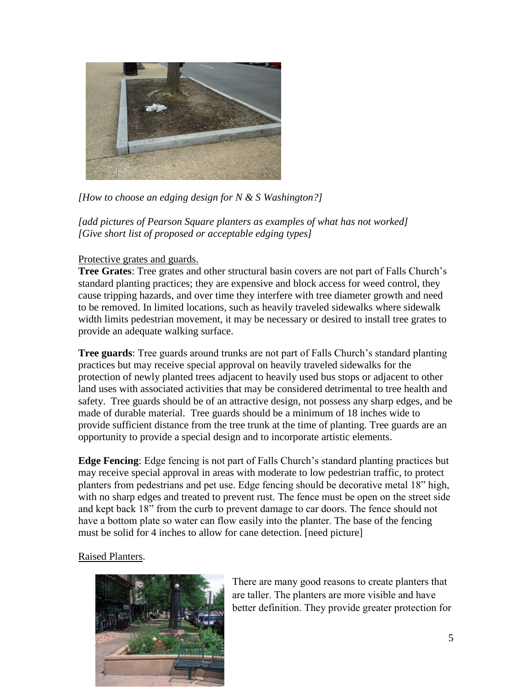

*[How to choose an edging design for N & S Washington?]*

*[add pictures of Pearson Square planters as examples of what has not worked] [Give short list of proposed or acceptable edging types]*

### Protective grates and guards.

**Tree Grates**: Tree grates and other structural basin covers are not part of Falls Church's standard planting practices; they are expensive and block access for weed control, they cause tripping hazards, and over time they interfere with tree diameter growth and need to be removed. In limited locations, such as heavily traveled sidewalks where sidewalk width limits pedestrian movement, it may be necessary or desired to install tree grates to provide an adequate walking surface.

**Tree guards**: Tree guards around trunks are not part of Falls Church's standard planting practices but may receive special approval on heavily traveled sidewalks for the protection of newly planted trees adjacent to heavily used bus stops or adjacent to other land uses with associated activities that may be considered detrimental to tree health and safety. Tree guards should be of an attractive design, not possess any sharp edges, and be made of durable material. Tree guards should be a minimum of 18 inches wide to provide sufficient distance from the tree trunk at the time of planting. Tree guards are an opportunity to provide a special design and to incorporate artistic elements.

**Edge Fencing**: Edge fencing is not part of Falls Church's standard planting practices but may receive special approval in areas with moderate to low pedestrian traffic, to protect planters from pedestrians and pet use. Edge fencing should be decorative metal 18" high, with no sharp edges and treated to prevent rust. The fence must be open on the street side and kept back 18" from the curb to prevent damage to car doors. The fence should not have a bottom plate so water can flow easily into the planter. The base of the fencing must be solid for 4 inches to allow for cane detection. [need picture]

#### Raised Planters.



There are many good reasons to create planters that are taller. The planters are more visible and have better definition. They provide greater protection for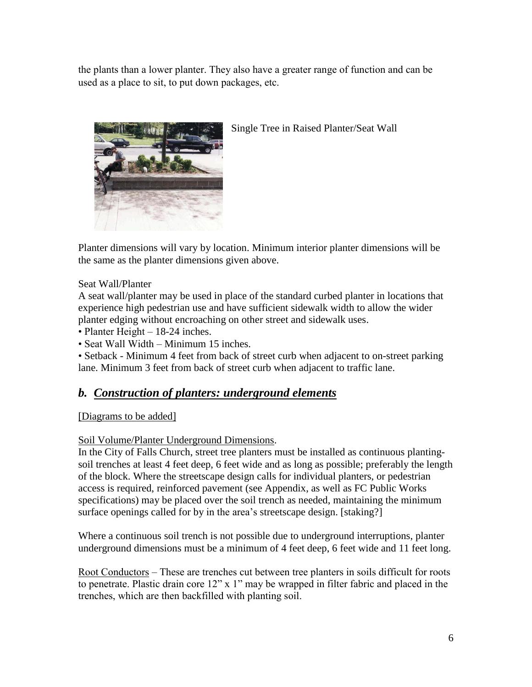the plants than a lower planter. They also have a greater range of function and can be used as a place to sit, to put down packages, etc.





Planter dimensions will vary by location. Minimum interior planter dimensions will be the same as the planter dimensions given above.

### Seat Wall/Planter

A seat wall/planter may be used in place of the standard curbed planter in locations that experience high pedestrian use and have sufficient sidewalk width to allow the wider planter edging without encroaching on other street and sidewalk uses.

- Planter Height 18-24 inches.
- Seat Wall Width Minimum 15 inches.

• Setback - Minimum 4 feet from back of street curb when adjacent to on-street parking lane. Minimum 3 feet from back of street curb when adjacent to traffic lane.

## *b. Construction of planters: underground elements*

#### [Diagrams to be added]

#### Soil Volume/Planter Underground Dimensions.

In the City of Falls Church, street tree planters must be installed as continuous plantingsoil trenches at least 4 feet deep, 6 feet wide and as long as possible; preferably the length of the block. Where the streetscape design calls for individual planters, or pedestrian access is required, reinforced pavement (see Appendix, as well as FC Public Works specifications) may be placed over the soil trench as needed, maintaining the minimum surface openings called for by in the area's streetscape design. [staking?]

Where a continuous soil trench is not possible due to underground interruptions, planter underground dimensions must be a minimum of 4 feet deep, 6 feet wide and 11 feet long.

Root Conductors – These are trenches cut between tree planters in soils difficult for roots to penetrate. Plastic drain core 12" x 1" may be wrapped in filter fabric and placed in the trenches, which are then backfilled with planting soil.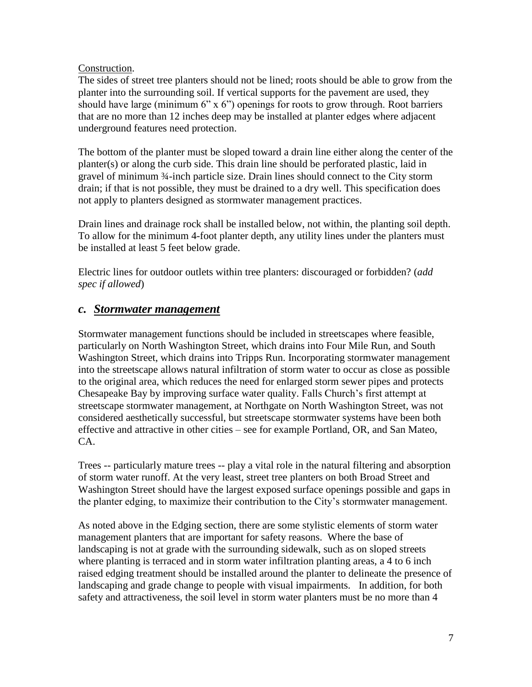### Construction.

The sides of street tree planters should not be lined; roots should be able to grow from the planter into the surrounding soil. If vertical supports for the pavement are used, they should have large (minimum  $6"$  x  $6"$ ) openings for roots to grow through. Root barriers that are no more than 12 inches deep may be installed at planter edges where adjacent underground features need protection.

The bottom of the planter must be sloped toward a drain line either along the center of the planter(s) or along the curb side. This drain line should be perforated plastic, laid in gravel of minimum ¾-inch particle size. Drain lines should connect to the City storm drain; if that is not possible, they must be drained to a dry well. This specification does not apply to planters designed as stormwater management practices.

Drain lines and drainage rock shall be installed below, not within, the planting soil depth. To allow for the minimum 4-foot planter depth, any utility lines under the planters must be installed at least 5 feet below grade.

Electric lines for outdoor outlets within tree planters: discouraged or forbidden? (*add spec if allowed*)

## *c. Stormwater management*

Stormwater management functions should be included in streetscapes where feasible, particularly on North Washington Street, which drains into Four Mile Run, and South Washington Street, which drains into Tripps Run. Incorporating stormwater management into the streetscape allows natural infiltration of storm water to occur as close as possible to the original area, which reduces the need for enlarged storm sewer pipes and protects Chesapeake Bay by improving surface water quality. Falls Church's first attempt at streetscape stormwater management, at Northgate on North Washington Street, was not considered aesthetically successful, but streetscape stormwater systems have been both effective and attractive in other cities – see for example Portland, OR, and San Mateo, CA.

Trees -- particularly mature trees -- play a vital role in the natural filtering and absorption of storm water runoff. At the very least, street tree planters on both Broad Street and Washington Street should have the largest exposed surface openings possible and gaps in the planter edging, to maximize their contribution to the City's stormwater management.

As noted above in the Edging section, there are some stylistic elements of storm water management planters that are important for safety reasons. Where the base of landscaping is not at grade with the surrounding sidewalk, such as on sloped streets where planting is terraced and in storm water infiltration planting areas, a 4 to 6 inch raised edging treatment should be installed around the planter to delineate the presence of landscaping and grade change to people with visual impairments. In addition, for both safety and attractiveness, the soil level in storm water planters must be no more than 4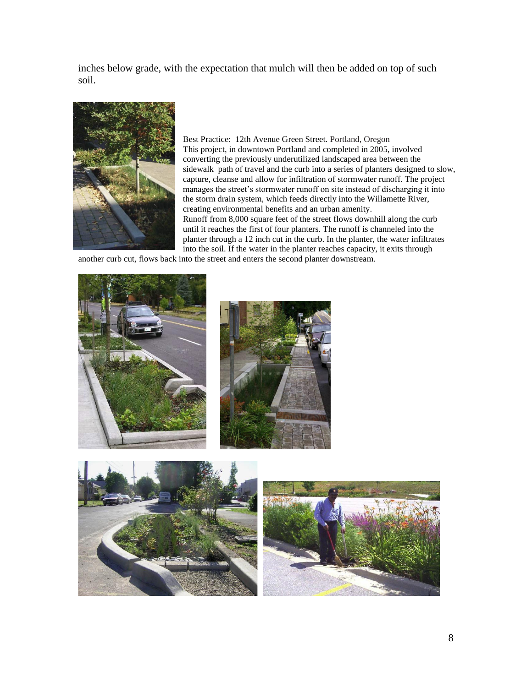inches below grade, with the expectation that mulch will then be added on top of such soil.



Best Practice: 12th Avenue Green Street. Portland, Oregon This project, in downtown Portland and completed in 2005, involved converting the previously underutilized landscaped area between the sidewalk path of travel and the curb into a series of planters designed to slow, capture, cleanse and allow for infiltration of stormwater runoff. The project manages the street's stormwater runoff on site instead of discharging it into the storm drain system, which feeds directly into the Willamette River, creating environmental benefits and an urban amenity. Runoff from 8,000 square feet of the street flows downhill along the curb until it reaches the first of four planters. The runoff is channeled into the planter through a 12 inch cut in the curb. In the planter, the water infiltrates into the soil. If the water in the planter reaches capacity, it exits through

another curb cut, flows back into the street and enters the second planter downstream.





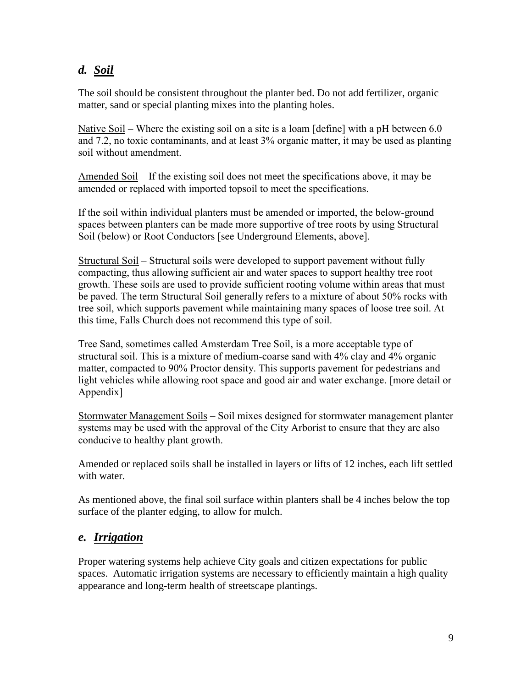# *d. Soil*

The soil should be consistent throughout the planter bed. Do not add fertilizer, organic matter, sand or special planting mixes into the planting holes.

Native Soil – Where the existing soil on a site is a loam [define] with a pH between 6.0 and 7.2, no toxic contaminants, and at least 3% organic matter, it may be used as planting soil without amendment.

Amended Soil – If the existing soil does not meet the specifications above, it may be amended or replaced with imported topsoil to meet the specifications.

If the soil within individual planters must be amended or imported, the below-ground spaces between planters can be made more supportive of tree roots by using Structural Soil (below) or Root Conductors [see Underground Elements, above].

Structural Soil – Structural soils were developed to support pavement without fully compacting, thus allowing sufficient air and water spaces to support healthy tree root growth. These soils are used to provide sufficient rooting volume within areas that must be paved. The term Structural Soil generally refers to a mixture of about 50% rocks with tree soil, which supports pavement while maintaining many spaces of loose tree soil. At this time, Falls Church does not recommend this type of soil.

Tree Sand, sometimes called Amsterdam Tree Soil, is a more acceptable type of structural soil. This is a mixture of medium-coarse sand with 4% clay and 4% organic matter, compacted to 90% Proctor density. This supports pavement for pedestrians and light vehicles while allowing root space and good air and water exchange. [more detail or Appendix]

Stormwater Management Soils – Soil mixes designed for stormwater management planter systems may be used with the approval of the City Arborist to ensure that they are also conducive to healthy plant growth.

Amended or replaced soils shall be installed in layers or lifts of 12 inches, each lift settled with water.

As mentioned above, the final soil surface within planters shall be 4 inches below the top surface of the planter edging, to allow for mulch.

## *e. Irrigation*

Proper watering systems help achieve City goals and citizen expectations for public spaces. Automatic irrigation systems are necessary to efficiently maintain a high quality appearance and long-term health of streetscape plantings.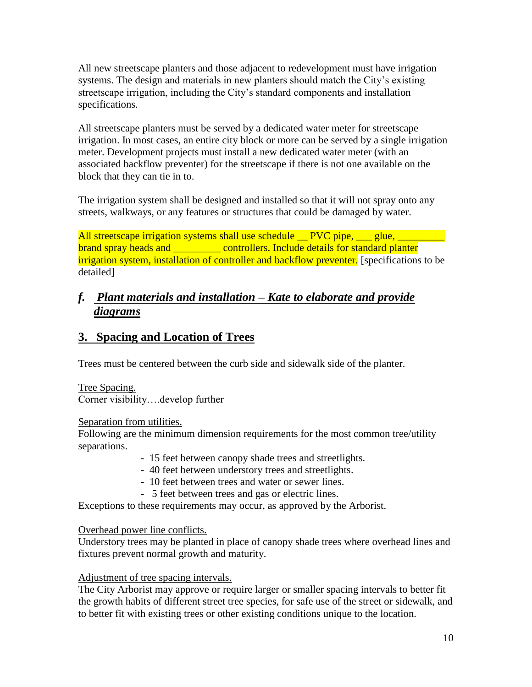All new streetscape planters and those adjacent to redevelopment must have irrigation systems. The design and materials in new planters should match the City's existing streetscape irrigation, including the City's standard components and installation specifications.

All streetscape planters must be served by a dedicated water meter for streetscape irrigation. In most cases, an entire city block or more can be served by a single irrigation meter. Development projects must install a new dedicated water meter (with an associated backflow preventer) for the streetscape if there is not one available on the block that they can tie in to.

The irrigation system shall be designed and installed so that it will not spray onto any streets, walkways, or any features or structures that could be damaged by water.

All streetscape irrigation systems shall use schedule <u>PVC</u> pipe, sum glue, sum brand spray heads and <u>section of controllers. Include details for standard planter</u> irrigation system, installation of controller and backflow preventer. [specifications to be detailed]

# *f. Plant materials and installation – Kate to elaborate and provide diagrams*

## **3. Spacing and Location of Trees**

Trees must be centered between the curb side and sidewalk side of the planter.

Tree Spacing. Corner visibility….develop further

Separation from utilities.

Following are the minimum dimension requirements for the most common tree/utility separations.

- 15 feet between canopy shade trees and streetlights.
- 40 feet between understory trees and streetlights.
- 10 feet between trees and water or sewer lines.
- 5 feet between trees and gas or electric lines.

Exceptions to these requirements may occur, as approved by the Arborist.

### Overhead power line conflicts.

Understory trees may be planted in place of canopy shade trees where overhead lines and fixtures prevent normal growth and maturity.

### Adjustment of tree spacing intervals.

The City Arborist may approve or require larger or smaller spacing intervals to better fit the growth habits of different street tree species, for safe use of the street or sidewalk, and to better fit with existing trees or other existing conditions unique to the location.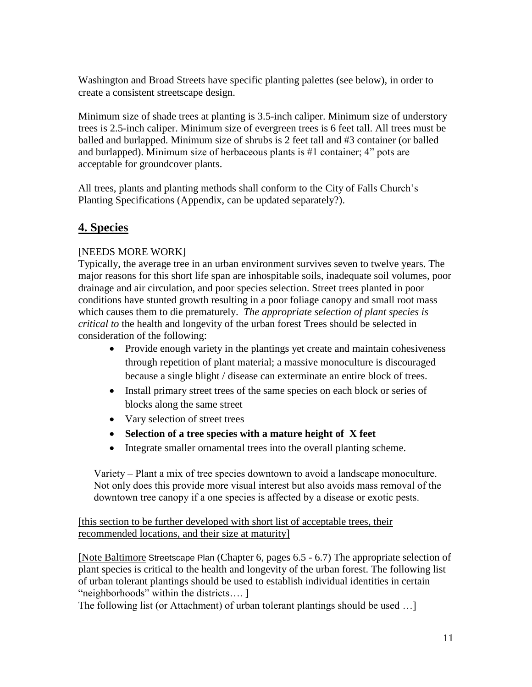Washington and Broad Streets have specific planting palettes (see below), in order to create a consistent streetscape design.

Minimum size of shade trees at planting is 3.5-inch caliper. Minimum size of understory trees is 2.5-inch caliper. Minimum size of evergreen trees is 6 feet tall. All trees must be balled and burlapped. Minimum size of shrubs is 2 feet tall and #3 container (or balled and burlapped). Minimum size of herbaceous plants is #1 container; 4" pots are acceptable for groundcover plants.

All trees, plants and planting methods shall conform to the City of Falls Church's Planting Specifications (Appendix, can be updated separately?).

# **4. Species**

## [NEEDS MORE WORK]

Typically, the average tree in an urban environment survives seven to twelve years. The major reasons for this short life span are inhospitable soils, inadequate soil volumes, poor drainage and air circulation, and poor species selection. Street trees planted in poor conditions have stunted growth resulting in a poor foliage canopy and small root mass which causes them to die prematurely. *The appropriate selection of plant species is critical to* the health and longevity of the urban forest Trees should be selected in consideration of the following:

- Provide enough variety in the plantings yet create and maintain cohesiveness through repetition of plant material; a massive monoculture is discouraged because a single blight / disease can exterminate an entire block of trees.
- Install primary street trees of the same species on each block or series of blocks along the same street
- Vary selection of street trees
- **Selection of a tree species with a mature height of X feet**
- Integrate smaller ornamental trees into the overall planting scheme.

Variety – Plant a mix of tree species downtown to avoid a landscape monoculture. Not only does this provide more visual interest but also avoids mass removal of the downtown tree canopy if a one species is affected by a disease or exotic pests.

[this section to be further developed with short list of acceptable trees, their recommended locations, and their size at maturity]

[Note Baltimore Streetscape Plan (Chapter 6, pages 6.5 - 6.7) The appropriate selection of plant species is critical to the health and longevity of the urban forest. The following list of urban tolerant plantings should be used to establish individual identities in certain "neighborhoods" within the districts…. ]

The following list (or Attachment) of urban tolerant plantings should be used …]